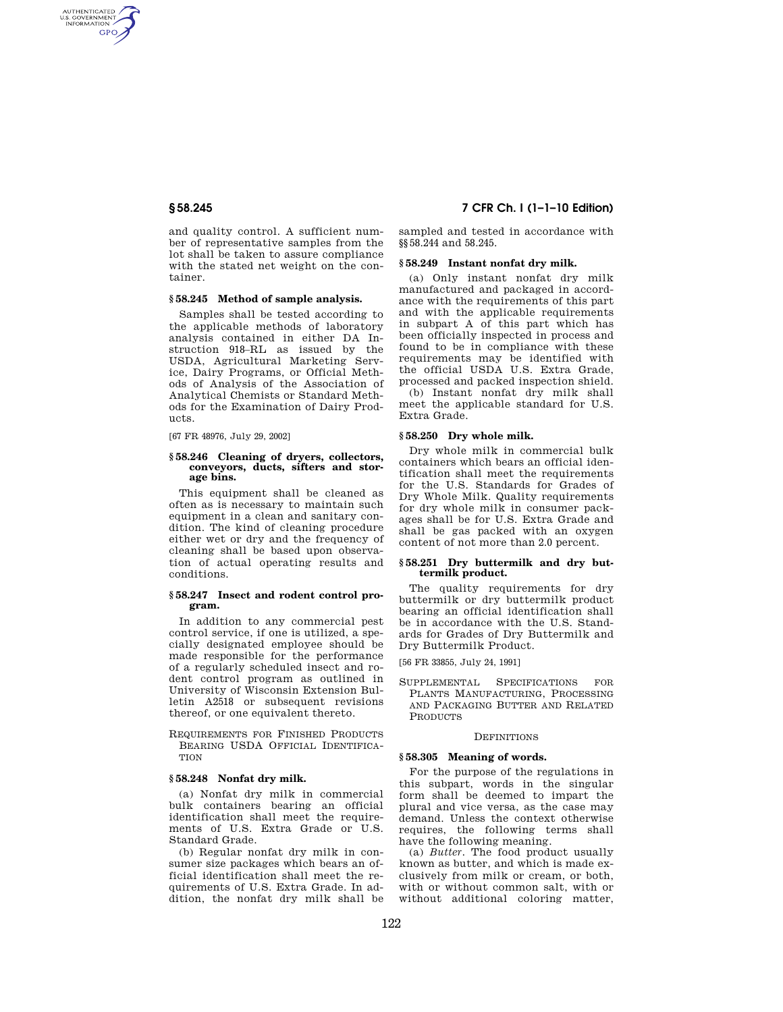AUTHENTICATED<br>U.S. GOVERNMENT<br>INFORMATION **GPO** 

> and quality control. A sufficient number of representative samples from the lot shall be taken to assure compliance with the stated net weight on the container.

#### **§ 58.245 Method of sample analysis.**

Samples shall be tested according to the applicable methods of laboratory analysis contained in either DA Instruction 918–RL as issued by the USDA, Agricultural Marketing Service, Dairy Programs, or Official Methods of Analysis of the Association of Analytical Chemists or Standard Methods for the Examination of Dairy Products.

[67 FR 48976, July 29, 2002]

#### **§ 58.246 Cleaning of dryers, collectors, conveyors, ducts, sifters and storage bins.**

This equipment shall be cleaned as often as is necessary to maintain such equipment in a clean and sanitary condition. The kind of cleaning procedure either wet or dry and the frequency of cleaning shall be based upon observation of actual operating results and conditions.

#### **§ 58.247 Insect and rodent control program.**

In addition to any commercial pest control service, if one is utilized, a specially designated employee should be made responsible for the performance of a regularly scheduled insect and rodent control program as outlined in University of Wisconsin Extension Bulletin A2518 or subsequent revisions thereof, or one equivalent thereto.

REQUIREMENTS FOR FINISHED PRODUCTS BEARING USDA OFFICIAL IDENTIFICA-**TION** 

#### **§ 58.248 Nonfat dry milk.**

(a) Nonfat dry milk in commercial bulk containers bearing an official identification shall meet the requirements of U.S. Extra Grade or U.S. Standard Grade.

(b) Regular nonfat dry milk in consumer size packages which bears an official identification shall meet the requirements of U.S. Extra Grade. In addition, the nonfat dry milk shall be

**§ 58.245 7 CFR Ch. I (1–1–10 Edition)** 

sampled and tested in accordance with §§58.244 and 58.245.

### **§ 58.249 Instant nonfat dry milk.**

(a) Only instant nonfat dry milk manufactured and packaged in accordance with the requirements of this part and with the applicable requirements in subpart A of this part which has been officially inspected in process and found to be in compliance with these requirements may be identified with the official USDA U.S. Extra Grade, processed and packed inspection shield.

(b) Instant nonfat dry milk shall meet the applicable standard for U.S. Extra Grade.

#### **§ 58.250 Dry whole milk.**

Dry whole milk in commercial bulk containers which bears an official identification shall meet the requirements for the U.S. Standards for Grades of Dry Whole Milk. Quality requirements for dry whole milk in consumer packages shall be for U.S. Extra Grade and shall be gas packed with an oxygen content of not more than 2.0 percent.

### **§ 58.251 Dry buttermilk and dry buttermilk product.**

The quality requirements for dry buttermilk or dry buttermilk product bearing an official identification shall be in accordance with the U.S. Standards for Grades of Dry Buttermilk and Dry Buttermilk Product.

[56 FR 33855, July 24, 1991]

SUPPLEMENTAL SPECIFICATIONS FOR PLANTS MANUFACTURING, PROCESSING AND PACKAGING BUTTER AND RELATED PRODUCTS

#### **DEFINITIONS**

# **§ 58.305 Meaning of words.**

For the purpose of the regulations in this subpart, words in the singular form shall be deemed to impart the plural and vice versa, as the case may demand. Unless the context otherwise requires, the following terms shall have the following meaning.

(a) *Butter.* The food product usually known as butter, and which is made exclusively from milk or cream, or both, with or without common salt, with or without additional coloring matter,